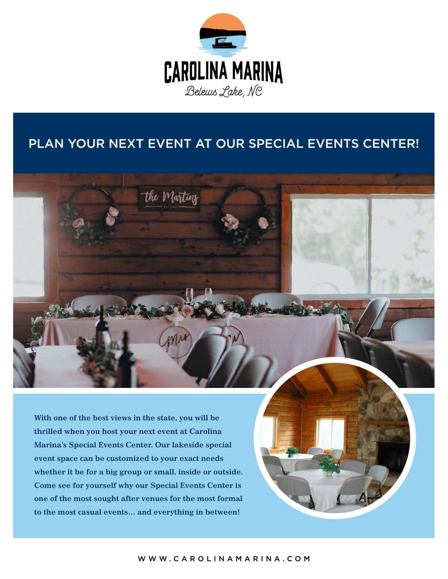

## PLAN YOUR NEXT EVENT AT OUR SPECIAL EVENTS CENTER!

the Marting

**With one of the best views in the state, you will be thrilled when you host your next event at Carolina Marina's Special Events Center. Our lakeside special event space can be customized to your exact needs whether it be for a big group or small, inside or outside. Come see for yourself why our Special Events Center is one of the most sought after venues for the most formal to the most casual events… and everything in between!**

WWW.CAROLINAMARINA.COM